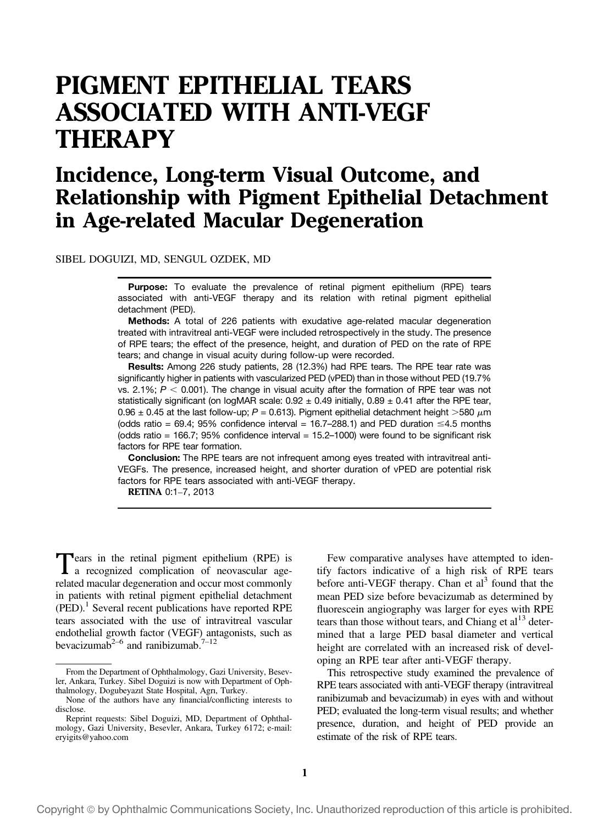# PIGMENT EPITHELIAL TEARS ASSOCIATED WITH ANTI-VEGF THERAPY

## Incidence, Long-term Visual Outcome, and Relationship with Pigment Epithelial Detachment in Age-related Macular Degeneration

SIBEL DOGUIZI, MD, SENGUL OZDEK, MD

Purpose: To evaluate the prevalence of retinal pigment epithelium (RPE) tears associated with anti-VEGF therapy and its relation with retinal pigment epithelial detachment (PED).

Methods: A total of 226 patients with exudative age-related macular degeneration treated with intravitreal anti-VEGF were included retrospectively in the study. The presence of RPE tears; the effect of the presence, height, and duration of PED on the rate of RPE tears; and change in visual acuity during follow-up were recorded.

Results: Among 226 study patients, 28 (12.3%) had RPE tears. The RPE tear rate was significantly higher in patients with vascularized PED (vPED) than in those without PED (19.7% vs. 2.1%;  $P < 0.001$ ). The change in visual acuity after the formation of RPE tear was not statistically significant (on logMAR scale:  $0.92 \pm 0.49$  initially,  $0.89 \pm 0.41$  after the RPE tear, 0.96  $\pm$  0.45 at the last follow-up; P = 0.613). Pigment epithelial detachment height  $>$ 580  $\mu$ m (odds ratio = 69.4; 95% confidence interval = 16.7-288.1) and PED duration  $\leq 4.5$  months (odds ratio = 166.7; 95% confidence interval = 15.2-1000) were found to be significant risk factors for RPE tear formation.

Conclusion: The RPE tears are not infrequent among eyes treated with intravitreal anti-VEGFs. The presence, increased height, and shorter duration of vPED are potential risk factors for RPE tears associated with anti-VEGF therapy.

RETINA 0:1–7, 2013

Tears in the retinal pigment epithelium (RPE) is a recognized complication of neovascular agerelated macular degeneration and occur most commonly in patients with retinal pigment epithelial detachment  $(PED).$ <sup>1</sup> Several recent publications have reported RPE tears associated with the use of intravitreal vascular endothelial growth factor (VEGF) antagonists, such as bevacizumab<sup>2–6</sup> and ranibizumab.<sup>7–12</sup>

Few comparative analyses have attempted to identify factors indicative of a high risk of RPE tears before anti-VEGF therapy. Chan et  $al<sup>3</sup>$  found that the mean PED size before bevacizumab as determined by fluorescein angiography was larger for eyes with RPE tears than those without tears, and Chiang et  $al<sup>13</sup>$  determined that a large PED basal diameter and vertical height are correlated with an increased risk of developing an RPE tear after anti-VEGF therapy.

This retrospective study examined the prevalence of RPE tears associated with anti-VEGF therapy (intravitreal ranibizumab and bevacizumab) in eyes with and without PED; evaluated the long-term visual results; and whether presence, duration, and height of PED provide an estimate of the risk of RPE tears.

From the Department of Ophthalmology, Gazi University, Besevler, Ankara, Turkey. Sibel Doguizi is now with Department of Ophthalmology, Dogubeyazıt State Hospital, Agrı, Turkey.

None of the authors have any financial/conflicting interests to disclose.

Reprint requests: Sibel Doguizi, MD, Department of Ophthalmology, Gazi University, Besevler, Ankara, Turkey 6172; e-mail: [eryigits@yahoo.com](mailto:eryigits@yahoo.com)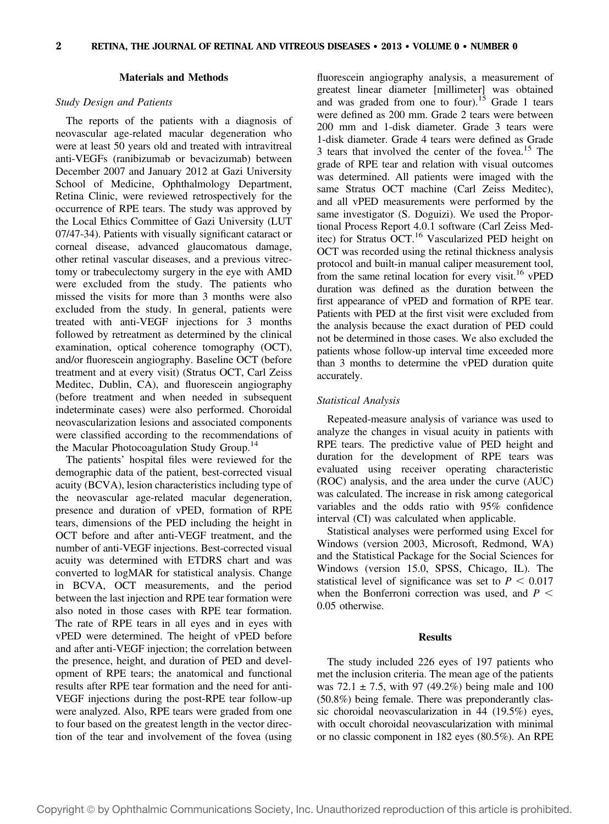#### Materials and Methods

#### Study Design and Patients

The reports of the patients with a diagnosis of neovascular age-related macular degeneration who were at least 50 years old and treated with intravitreal anti-VEGFs (ranibizumab or bevacizumab) between December 2007 and January 2012 at Gazi University School of Medicine, Ophthalmology Department, Retina Clinic, were reviewed retrospectively for the occurrence of RPE tears. The study was approved by the Local Ethics Committee of Gazi University (LUT 07/47-34). Patients with visually significant cataract or corneal disease, advanced glaucomatous damage, other retinal vascular diseases, and a previous vitrectomy or trabeculectomy surgery in the eye with AMD were excluded from the study. The patients who missed the visits for more than 3 months were also excluded from the study. In general, patients were treated with anti-VEGF injections for 3 months followed by retreatment as determined by the clinical examination, optical coherence tomography (OCT), and/or fluorescein angiography. Baseline OCT (before treatment and at every visit) (Stratus OCT, Carl Zeiss Meditec, Dublin, CA), and fluorescein angiography (before treatment and when needed in subsequent indeterminate cases) were also performed. Choroidal neovascularization lesions and associated components were classified according to the recommendations of the Macular Photocoagulation Study Group.<sup>14</sup>

The patients' hospital files were reviewed for the demographic data of the patient, best-corrected visual acuity (BCVA), lesion characteristics including type of the neovascular age-related macular degeneration, presence and duration of vPED, formation of RPE tears, dimensions of the PED including the height in OCT before and after anti-VEGF treatment, and the number of anti-VEGF injections. Best-corrected visual acuity was determined with ETDRS chart and was converted to logMAR for statistical analysis. Change in BCVA, OCT measurements, and the period between the last injection and RPE tear formation were also noted in those cases with RPE tear formation. The rate of RPE tears in all eyes and in eyes with vPED were determined. The height of vPED before and after anti-VEGF injection; the correlation between the presence, height, and duration of PED and development of RPE tears; the anatomical and functional results after RPE tear formation and the need for anti-VEGF injections during the post-RPE tear follow-up were analyzed. Also, RPE tears were graded from one to four based on the greatest length in the vector direction of the tear and involvement of the fovea (using fluorescein angiography analysis, a measurement of greatest linear diameter [millimeter] was obtained and was graded from one to four).<sup>15</sup> Grade 1 tears were defined as 200 mm. Grade 2 tears were between 200 mm and 1-disk diameter. Grade 3 tears were 1-disk diameter. Grade 4 tears were defined as Grade 3 tears that involved the center of the fovea.<sup>15</sup> The grade of RPE tear and relation with visual outcomes was determined. All patients were imaged with the same Stratus OCT machine (Carl Zeiss Meditec), and all vPED measurements were performed by the same investigator (S. Doguizi). We used the Proportional Process Report 4.0.1 software (Carl Zeiss Meditec) for Stratus OCT.<sup>16</sup> Vascularized PED height on OCT was recorded using the retinal thickness analysis protocol and built-in manual caliper measurement tool, from the same retinal location for every visit.<sup>16</sup> vPED duration was defined as the duration between the first appearance of vPED and formation of RPE tear. Patients with PED at the first visit were excluded from the analysis because the exact duration of PED could not be determined in those cases. We also excluded the patients whose follow-up interval time exceeded more than 3 months to determine the vPED duration quite accurately.

#### Statistical Analysis

Repeated-measure analysis of variance was used to analyze the changes in visual acuity in patients with RPE tears. The predictive value of PED height and duration for the development of RPE tears was evaluated using receiver operating characteristic (ROC) analysis, and the area under the curve (AUC) was calculated. The increase in risk among categorical variables and the odds ratio with 95% confidence interval (CI) was calculated when applicable.

Statistical analyses were performed using Excel for Windows (version 2003, Microsoft, Redmond, WA) and the Statistical Package for the Social Sciences for Windows (version 15.0, SPSS, Chicago, IL). The statistical level of significance was set to  $P < 0.017$ when the Bonferroni correction was used, and  $P \leq$ 0.05 otherwise.

#### Results

The study included 226 eyes of 197 patients who met the inclusion criteria. The mean age of the patients was 72.1  $\pm$  7.5, with 97 (49.2%) being male and 100 (50.8%) being female. There was preponderantly classic choroidal neovascularization in 44 (19.5%) eyes, with occult choroidal neovascularization with minimal or no classic component in 182 eyes (80.5%). An RPE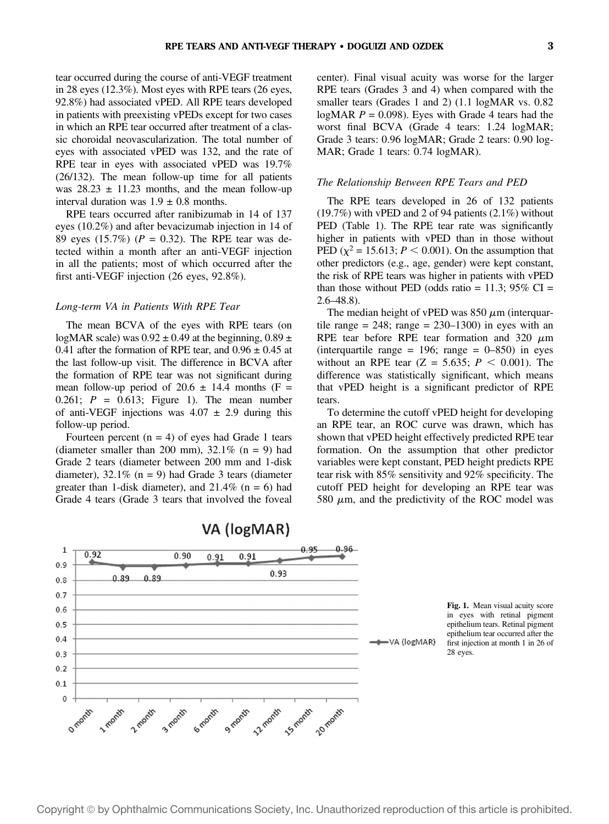tear occurred during the course of anti-VEGF treatment in 28 eyes (12.3%). Most eyes with RPE tears (26 eyes, 92.8%) had associated vPED. All RPE tears developed in patients with preexisting vPEDs except for two cases in which an RPE tear occurred after treatment of a classic choroidal neovascularization. The total number of eyes with associated vPED was 132, and the rate of RPE tear in eyes with associated vPED was 19.7% (26/132). The mean follow-up time for all patients was  $28.23 \pm 11.23$  months, and the mean follow-up interval duration was  $1.9 \pm 0.8$  months.

RPE tears occurred after ranibizumab in 14 of 137 eyes (10.2%) and after bevacizumab injection in 14 of 89 eyes (15.7%) ( $P = 0.32$ ). The RPE tear was detected within a month after an anti-VEGF injection in all the patients; most of which occurred after the first anti-VEGF injection (26 eyes, 92.8%).

#### Long-term VA in Patients With RPE Tear

The mean BCVA of the eyes with RPE tears (on logMAR scale) was  $0.92 \pm 0.49$  at the beginning,  $0.89 \pm 0.49$ 0.41 after the formation of RPE tear, and  $0.96 \pm 0.45$  at the last follow-up visit. The difference in BCVA after the formation of RPE tear was not significant during mean follow-up period of  $20.6 \pm 14.4$  months (F = 0.261;  $P = 0.613$ ; Figure 1). The mean number of anti-VEGF injections was  $4.07 \pm 2.9$  during this follow-up period.

Fourteen percent  $(n = 4)$  of eyes had Grade 1 tears (diameter smaller than 200 mm),  $32.1\%$  (n = 9) had Grade 2 tears (diameter between 200 mm and 1-disk diameter),  $32.1\%$  (n = 9) had Grade 3 tears (diameter) greater than 1-disk diameter), and  $21.4\%$  (n = 6) had Grade 4 tears (Grade 3 tears that involved the foveal center). Final visual acuity was worse for the larger RPE tears (Grades 3 and 4) when compared with the smaller tears (Grades 1 and 2) (1.1 logMAR vs. 0.82 logMAR  $P = 0.098$ . Eyes with Grade 4 tears had the worst final BCVA (Grade 4 tears: 1.24 logMAR; Grade 3 tears: 0.96 logMAR; Grade 2 tears: 0.90 log-MAR; Grade 1 tears: 0.74 logMAR).

#### The Relationship Between RPE Tears and PED

The RPE tears developed in 26 of 132 patients  $(19.7%)$  with vPED and 2 of 94 patients  $(2.1%)$  without PED (Table 1). The RPE tear rate was significantly higher in patients with vPED than in those without PED ( $\chi^2$  = 15.613; *P* < 0.001). On the assumption that other predictors (e.g., age, gender) were kept constant, the risk of RPE tears was higher in patients with vPED than those without PED (odds ratio  $= 11.3$ ; 95% CI  $=$ 2.6–48.8).

The median height of vPED was  $850 \mu m$  (interquartile range =  $248$ ; range =  $230-1300$ ) in eyes with an RPE tear before RPE tear formation and 320  $\mu$ m (interquartile range =  $196$ ; range =  $0-850$ ) in eyes without an RPE tear  $(Z = 5.635; P < 0.001)$ . The difference was statistically significant, which means that vPED height is a significant predictor of RPE tears.

To determine the cutoff vPED height for developing an RPE tear, an ROC curve was drawn, which has shown that vPED height effectively predicted RPE tear formation. On the assumption that other predictor variables were kept constant, PED height predicts RPE tear risk with 85% sensitivity and 92% specificity. The cutoff PED height for developing an RPE tear was 580  $\mu$ m, and the predictivity of the ROC model was



### VA (logMAR)

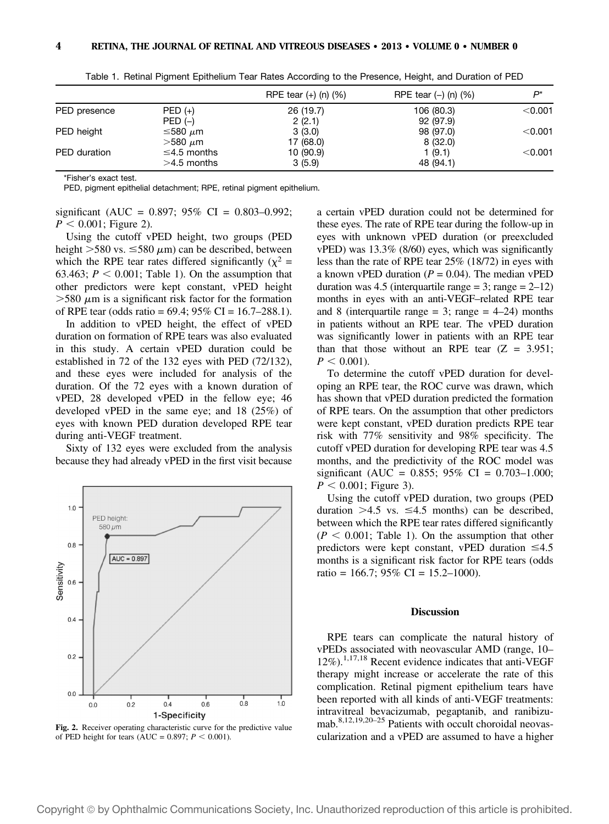| Table 1. Retinal Pigment Epithelium Tear Rates According to the Presence, Height, and Duration of PED |                                    |                          |                          |         |
|-------------------------------------------------------------------------------------------------------|------------------------------------|--------------------------|--------------------------|---------|
|                                                                                                       |                                    | RPE tear $(+)$ (n) $(%)$ | RPE tear $(-)$ (n) $(%)$ | P*      |
| PED presence                                                                                          | $PED (+)$<br>$PED(-)$              | 26(19.7)<br>2(2.1)       | 106 (80.3)<br>92 (97.9)  | < 0.001 |
| PED height                                                                                            | ≤580 $μ$ m<br>$>$ 580 $\mu$ m      | 3(3.0)<br>17 (68.0)      | 98 (97.0)<br>8(32.0)     | < 0.001 |
| PED duration                                                                                          | $\leq$ 4.5 months<br>$>4.5$ months | 10 (90.9)<br>3(5.9)      | 1(9.1)<br>48 (94.1)      | < 0.001 |

Table 1. Retinal Pigment Epithelium Tear Rates According to the Presence, Height, and Duration of PED

\*Fisher's exact test.

PED, pigment epithelial detachment; RPE, retinal pigment epithelium.

significant (AUC = 0.897; 95% CI = 0.803–0.992;  $P < 0.001$ ; Figure 2).

Using the cutoff vPED height, two groups (PED height  $>580$  vs.  $\leq 580 \mu m$  can be described, between which the RPE tear rates differed significantly ( $\chi^2$  = 63.463;  $P < 0.001$ ; Table 1). On the assumption that other predictors were kept constant, vPED height  $>580 \mu m$  is a significant risk factor for the formation of RPE tear (odds ratio =  $69.4$ ;  $95\%$  CI =  $16.7-288.1$ ).

In addition to vPED height, the effect of vPED duration on formation of RPE tears was also evaluated in this study. A certain vPED duration could be established in 72 of the 132 eyes with PED (72/132), and these eyes were included for analysis of the duration. Of the 72 eyes with a known duration of vPED, 28 developed vPED in the fellow eye; 46 developed vPED in the same eye; and 18 (25%) of eyes with known PED duration developed RPE tear during anti-VEGF treatment.

Sixty of 132 eyes were excluded from the analysis because they had already vPED in the first visit because



Fig. 2. Receiver operating characteristic curve for the predictive value of PED height for tears (AUC =  $0.897$ ;  $P < 0.001$ ).

a certain vPED duration could not be determined for these eyes. The rate of RPE tear during the follow-up in eyes with unknown vPED duration (or preexcluded vPED) was 13.3% (8/60) eyes, which was significantly less than the rate of RPE tear 25% (18/72) in eyes with a known vPED duration ( $P = 0.04$ ). The median vPED duration was 4.5 (interquartile range  $= 3$ ; range  $= 2 - 12$ ) months in eyes with an anti-VEGF–related RPE tear and 8 (interquartile range  $= 3$ ; range  $= 4-24$ ) months in patients without an RPE tear. The vPED duration was significantly lower in patients with an RPE tear than that those without an RPE tear  $(Z = 3.951)$ ;  $P < 0.001$ ).

To determine the cutoff vPED duration for developing an RPE tear, the ROC curve was drawn, which has shown that vPED duration predicted the formation of RPE tears. On the assumption that other predictors were kept constant, vPED duration predicts RPE tear risk with 77% sensitivity and 98% specificity. The cutoff vPED duration for developing RPE tear was 4.5 months, and the predictivity of the ROC model was significant (AUC = 0.855; 95% CI = 0.703-1.000;  $P < 0.001$ ; Figure 3).

Using the cutoff vPED duration, two groups (PED duration  $>4.5$  vs.  $\leq 4.5$  months) can be described, between which the RPE tear rates differed significantly  $(P < 0.001$ ; Table 1). On the assumption that other predictors were kept constant, vPED duration  $\leq 4.5$ months is a significant risk factor for RPE tears (odds ratio = 166.7; 95% CI = 15.2–1000).

#### **Discussion**

RPE tears can complicate the natural history of vPEDs associated with neovascular AMD (range, 10– 12%).1,17,18 Recent evidence indicates that anti-VEGF therapy might increase or accelerate the rate of this complication. Retinal pigment epithelium tears have been reported with all kinds of anti-VEGF treatments: intravitreal bevacizumab, pegaptanib, and ranibizumab.<sup>8,12,19,20–25</sup> Patients with occult choroidal neovascularization and a vPED are assumed to have a higher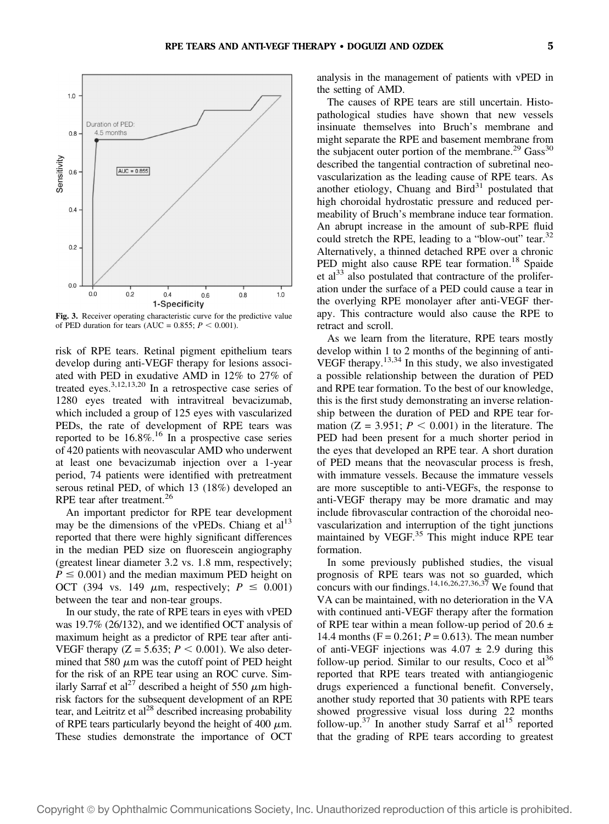

Fig. 3. Receiver operating characteristic curve for the predictive value of PED duration for tears (AUC =  $0.855$ ;  $P < 0.001$ ).

risk of RPE tears. Retinal pigment epithelium tears develop during anti-VEGF therapy for lesions associated with PED in exudative AMD in 12% to 27% of treated eyes. $3,12,13,20$  In a retrospective case series of 1280 eyes treated with intravitreal bevacizumab, which included a group of 125 eyes with vascularized PEDs, the rate of development of RPE tears was reported to be  $16.8\%$ .<sup>16</sup> In a prospective case series of 420 patients with neovascular AMD who underwent at least one bevacizumab injection over a 1-year period, 74 patients were identified with pretreatment serous retinal PED, of which 13 (18%) developed an RPE tear after treatment.<sup>26</sup>

An important predictor for RPE tear development may be the dimensions of the vPEDs. Chiang et  $al<sup>13</sup>$ reported that there were highly significant differences in the median PED size on fluorescein angiography (greatest linear diameter 3.2 vs. 1.8 mm, respectively;  $P \leq 0.001$ ) and the median maximum PED height on OCT (394 vs. 149  $\mu$ m, respectively;  $P \leq 0.001$ ) between the tear and non-tear groups.

In our study, the rate of RPE tears in eyes with vPED was 19.7% (26/132), and we identified OCT analysis of maximum height as a predictor of RPE tear after anti-VEGF therapy  $(Z = 5.635; P < 0.001)$ . We also determined that 580  $\mu$ m was the cutoff point of PED height for the risk of an RPE tear using an ROC curve. Similarly Sarraf et al<sup>27</sup> described a height of 550  $\mu$ m highrisk factors for the subsequent development of an RPE tear, and Leitritz et  $al^{28}$  described increasing probability of RPE tears particularly beyond the height of 400  $\mu$ m. These studies demonstrate the importance of OCT analysis in the management of patients with vPED in the setting of AMD.

The causes of RPE tears are still uncertain. Histopathological studies have shown that new vessels insinuate themselves into Bruch's membrane and might separate the RPE and basement membrane from the subjacent outer portion of the membrane. $^{29}$  Gass<sup>30</sup> described the tangential contraction of subretinal neovascularization as the leading cause of RPE tears. As another etiology, Chuang and Bird $31$  postulated that high choroidal hydrostatic pressure and reduced permeability of Bruch's membrane induce tear formation. An abrupt increase in the amount of sub-RPE fluid could stretch the RPE, leading to a "blow-out" tear.  $32$ Alternatively, a thinned detached RPE over a chronic PED might also cause RPE tear formation.<sup>18</sup> Spaide et al $^{33}$  also postulated that contracture of the proliferation under the surface of a PED could cause a tear in the overlying RPE monolayer after anti-VEGF therapy. This contracture would also cause the RPE to retract and scroll.

As we learn from the literature, RPE tears mostly develop within 1 to 2 months of the beginning of anti-VEGF therapy.<sup>13,34</sup> In this study, we also investigated a possible relationship between the duration of PED and RPE tear formation. To the best of our knowledge, this is the first study demonstrating an inverse relationship between the duration of PED and RPE tear formation ( $Z = 3.951$ ;  $P < 0.001$ ) in the literature. The PED had been present for a much shorter period in the eyes that developed an RPE tear. A short duration of PED means that the neovascular process is fresh, with immature vessels. Because the immature vessels are more susceptible to anti-VEGFs, the response to anti-VEGF therapy may be more dramatic and may include fibrovascular contraction of the choroidal neovascularization and interruption of the tight junctions maintained by VEGF.<sup>35</sup> This might induce RPE tear formation.

In some previously published studies, the visual prognosis of RPE tears was not so guarded, which concurs with our findings.<sup>14,16,26,27,36,37</sup> We found that VA can be maintained, with no deterioration in the VA with continued anti-VEGF therapy after the formation of RPE tear within a mean follow-up period of  $20.6 \pm$ 14.4 months ( $F = 0.261$ ;  $P = 0.613$ ). The mean number of anti-VEGF injections was  $4.07 \pm 2.9$  during this follow-up period. Similar to our results, Coco et  $al<sup>36</sup>$ reported that RPE tears treated with antiangiogenic drugs experienced a functional benefit. Conversely, another study reported that 30 patients with RPE tears showed progressive visual loss during 22 months follow-up.<sup>37</sup> In another study Sarraf et  $al^{15}$  reported that the grading of RPE tears according to greatest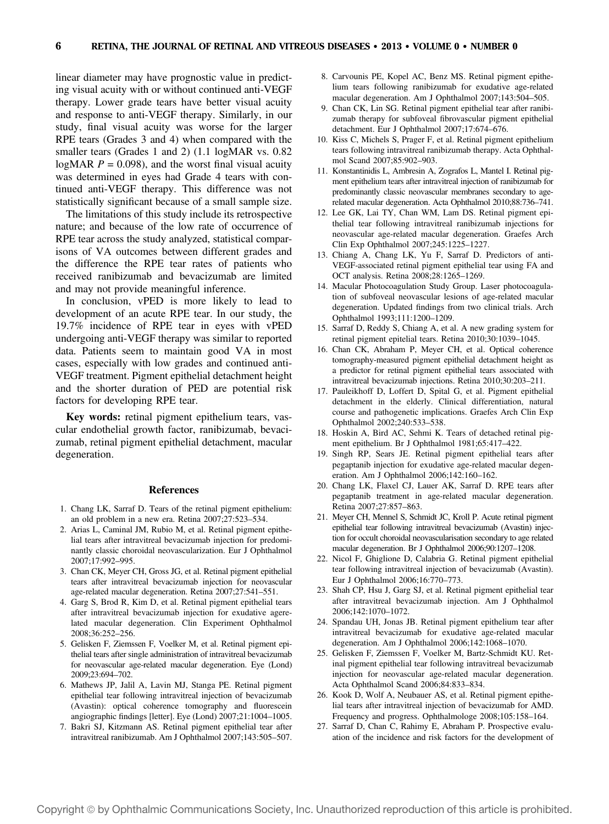linear diameter may have prognostic value in predicting visual acuity with or without continued anti-VEGF therapy. Lower grade tears have better visual acuity and response to anti-VEGF therapy. Similarly, in our study, final visual acuity was worse for the larger RPE tears (Grades 3 and 4) when compared with the smaller tears (Grades 1 and 2) (1.1 logMAR vs. 0.82 logMAR  $P = 0.098$ ), and the worst final visual acuity was determined in eyes had Grade 4 tears with continued anti-VEGF therapy. This difference was not statistically significant because of a small sample size.

The limitations of this study include its retrospective nature; and because of the low rate of occurrence of RPE tear across the study analyzed, statistical comparisons of VA outcomes between different grades and the difference the RPE tear rates of patients who received ranibizumab and bevacizumab are limited and may not provide meaningful inference.

In conclusion, vPED is more likely to lead to development of an acute RPE tear. In our study, the 19.7% incidence of RPE tear in eyes with vPED undergoing anti-VEGF therapy was similar to reported data. Patients seem to maintain good VA in most cases, especially with low grades and continued anti-VEGF treatment. Pigment epithelial detachment height and the shorter duration of PED are potential risk factors for developing RPE tear.

Key words: retinal pigment epithelium tears, vascular endothelial growth factor, ranibizumab, bevacizumab, retinal pigment epithelial detachment, macular degeneration.

#### **References**

- 1. Chang LK, Sarraf D. Tears of the retinal pigment epithelium: an old problem in a new era. Retina 2007;27:523–534.
- 2. Arias L, Caminal JM, Rubio M, et al. Retinal pigment epithelial tears after intravitreal bevacizumab injection for predominantly classic choroidal neovascularization. Eur J Ophthalmol 2007;17:992–995.
- 3. Chan CK, Meyer CH, Gross JG, et al. Retinal pigment epithelial tears after intravitreal bevacizumab injection for neovascular age-related macular degeneration. Retina 2007;27:541–551.
- 4. Garg S, Brod R, Kim D, et al. Retinal pigment epithelial tears after intravitreal bevacizumab injection for exudative agerelated macular degeneration. Clin Experiment Ophthalmol 2008;36:252–256.
- 5. Gelisken F, Ziemssen F, Voelker M, et al. Retinal pigment epithelial tears after single administration of intravitreal bevacizumab for neovascular age-related macular degeneration. Eye (Lond) 2009;23:694–702.
- 6. Mathews JP, Jalil A, Lavin MJ, Stanga PE. Retinal pigment epithelial tear following intravitreal injection of bevacizumab (Avastin): optical coherence tomography and fluorescein angiographic findings [letter]. Eye (Lond) 2007;21:1004–1005.
- 7. Bakri SJ, Kitzmann AS. Retinal pigment epithelial tear after intravitreal ranibizumab. Am J Ophthalmol 2007;143:505–507.
- 8. Carvounis PE, Kopel AC, Benz MS. Retinal pigment epithelium tears following ranibizumab for exudative age-related macular degeneration. Am J Ophthalmol 2007;143:504–505.
- 9. Chan CK, Lin SG. Retinal pigment epithelial tear after ranibizumab therapy for subfoveal fibrovascular pigment epithelial detachment. Eur J Ophthalmol 2007;17:674–676.
- 10. Kiss C, Michels S, Prager F, et al. Retinal pigment epithelium tears following intravitreal ranibizumab therapy. Acta Ophthalmol Scand 2007;85:902–903.
- 11. Konstantinidis L, Ambresin A, Zografos L, Mantel I. Retinal pigment epithelium tears after intravitreal injection of ranibizumab for predominantly classic neovascular membranes secondary to agerelated macular degeneration. Acta Ophthalmol 2010;88:736–741.
- 12. Lee GK, Lai TY, Chan WM, Lam DS. Retinal pigment epithelial tear following intravitreal ranibizumab injections for neovascular age-related macular degeneration. Graefes Arch Clin Exp Ophthalmol 2007;245:1225–1227.
- 13. Chiang A, Chang LK, Yu F, Sarraf D. Predictors of anti-VEGF-associated retinal pigment epithelial tear using FA and OCT analysis. Retina 2008;28:1265–1269.
- 14. Macular Photocoagulation Study Group. Laser photocoagulation of subfoveal neovascular lesions of age-related macular degeneration. Updated findings from two clinical trials. Arch Ophthalmol 1993;111:1200–1209.
- 15. Sarraf D, Reddy S, Chiang A, et al. A new grading system for retinal pigment epitelial tears. Retina 2010;30:1039–1045.
- 16. Chan CK, Abraham P, Meyer CH, et al. Optical coherence tomography-measured pigment epithelial detachment height as a predictor for retinal pigment epithelial tears associated with intravitreal bevacizumab injections. Retina 2010;30:203–211.
- 17. Pauleikhoff D, Loffert D, Spital G, et al. Pigment epithelial detachment in the elderly. Clinical differentiation, natural course and pathogenetic implications. Graefes Arch Clin Exp Ophthalmol 2002;240:533–538.
- 18. Hoskin A, Bird AC, Sehmi K. Tears of detached retinal pigment epithelium. Br J Ophthalmol 1981;65:417–422.
- 19. Singh RP, Sears JE. Retinal pigment epithelial tears after pegaptanib injection for exudative age-related macular degeneration. Am J Ophthalmol 2006;142:160–162.
- 20. Chang LK, Flaxel CJ, Lauer AK, Sarraf D. RPE tears after pegaptanib treatment in age-related macular degeneration. Retina 2007;27:857–863.
- 21. Meyer CH, Mennel S, Schmidt JC, Kroll P. Acute retinal pigment epithelial tear following intravitreal bevacizumab (Avastin) injection for occult choroidal neovascularisation secondary to age related macular degeneration. Br J Ophthalmol 2006;90:1207–1208.
- 22. Nicol F, Ghiglione D, Calabria G. Retinal pigment epithelial tear following intravitreal injection of bevacizumab (Avastin). Eur J Ophthalmol 2006;16:770–773.
- 23. Shah CP, Hsu J, Garg SJ, et al. Retinal pigment epithelial tear after intravitreal bevacizumab injection. Am J Ophthalmol 2006;142:1070–1072.
- 24. Spandau UH, Jonas JB. Retinal pigment epithelium tear after intravitreal bevacizumab for exudative age-related macular degeneration. Am J Ophthalmol 2006;142:1068–1070.
- 25. Gelisken F, Ziemssen F, Voelker M, Bartz-Schmidt KU. Retinal pigment epithelial tear following intravitreal bevacizumab injection for neovascular age-related macular degeneration. Acta Ophthalmol Scand 2006;84:833–834.
- 26. Kook D, Wolf A, Neubauer AS, et al. Retinal pigment epithelial tears after intravitreal injection of bevacizumab for AMD. Frequency and progress. Ophthalmologe 2008;105:158–164.
- 27. Sarraf D, Chan C, Rahimy E, Abraham P. Prospective evaluation of the incidence and risk factors for the development of